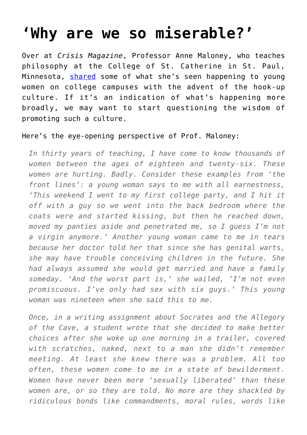## **['Why are we so miserable?'](https://intellectualtakeout.org/2016/07/why-are-we-so-miserable/)**

Over at *Crisis Magazine*, Professor Anne Maloney, who teaches philosophy at the College of St. Catherine in St. Paul, Minnesota, **[shared](http://www.crisismagazine.com/2016/hook-culture-done-women)** some of what she's seen happening to young women on college campuses with the advent of the hook-up culture. If it's an indication of what's happening more broadly, we may want to start questioning the wisdom of promoting such a culture.

## Here's the eye-opening perspective of Prof. Maloney:

*In thirty years of teaching, I have come to know thousands of women between the ages of eighteen and twenty-six. These women are hurting. Badly. Consider these examples from 'the front lines': a young woman says to me with all earnestness, 'This weekend I went to my first college party, and I hit it off with a guy so we went into the back bedroom where the coats were and started kissing, but then he reached down, moved my panties aside and penetrated me, so I guess I'm not a virgin anymore.' Another young woman came to me in tears because her doctor told her that since she has genital warts, she may have trouble conceiving children in the future. She had always assumed she would get married and have a family someday. 'And the worst part is,' she wailed, 'I'm not even promiscuous. I've only had sex with six guys.' This young woman was nineteen when she said this to me.*

*Once, in a writing assignment about Socrates and the Allegory of the Cave, a student wrote that she decided to make better choices after she woke up one morning in a trailer, covered with scratches, naked, next to a man she didn't remember meeting. At least she knew there was a problem. All too often, these women come to me in a state of bewilderment. Women have never been more 'sexually liberated' than these women are, or so they are told. No more are they shackled by ridiculous bonds like commandments, moral rules, words like*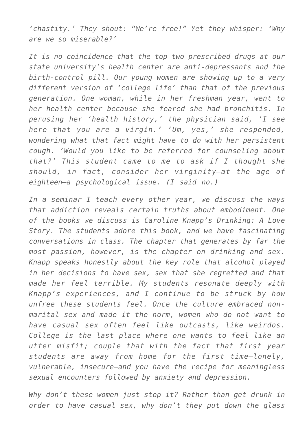*'chastity.' They shout: "We're free!" Yet they whisper: 'Why are we so miserable?'*

*It is no coincidence that the top two prescribed drugs at our state university's health center are anti-depressants and the birth-control pill. Our young women are showing up to a very different version of 'college life' than that of the previous generation. One woman, while in her freshman year, went to her health center because she feared she had bronchitis. In perusing her 'health history,' the physician said, 'I see here that you are a virgin.' 'Um, yes,' she responded, wondering what that fact might have to do with her persistent cough. 'Would you like to be referred for counseling about that?' This student came to me to ask if I thought she should, in fact, consider her virginity—at the age of eighteen—a psychological issue. (I said no.)*

*In a seminar I teach every other year, we discuss the ways that addiction reveals certain truths about embodiment. One of the books we discuss is Caroline Knapp's Drinking: A Love Story. The students adore this book, and we have fascinating conversations in class. The chapter that generates by far the most passion, however, is the chapter on drinking and sex. Knapp speaks honestly about the key role that alcohol played in her decisions to have sex, sex that she regretted and that made her feel terrible. My students resonate deeply with Knapp's experiences, and I continue to be struck by how unfree these students feel. Once the culture embraced nonmarital sex and made it the norm, women who do not want to have casual sex often feel like outcasts, like weirdos. College is the last place where one wants to feel like an utter misfit; couple that with the fact that first year students are away from home for the first time—lonely, vulnerable, insecure—and you have the recipe for meaningless sexual encounters followed by anxiety and depression.*

*Why don't these women just stop it? Rather than get drunk in order to have casual sex, why don't they put down the glass*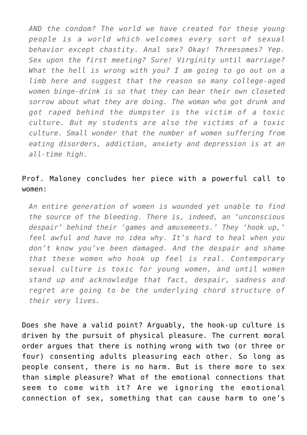*AND the condom? The world we have created for these young people is a world which welcomes every sort of sexual behavior except chastity. Anal sex? Okay! Threesomes? Yep. Sex upon the first meeting? Sure! Virginity until marriage? What the hell is wrong with you? I am going to go out on a limb here and suggest that the reason so many college-aged women binge-drink is so that they can bear their own closeted sorrow about what they are doing. The woman who got drunk and got raped behind the dumpster is the victim of a toxic culture. But my students are also the victims of a toxic culture. Small wonder that the number of women suffering from eating disorders, addiction, anxiety and depression is at an all-time high.*

## Prof. Maloney concludes her piece with a powerful call to women:

*An entire generation of women is wounded yet unable to find the source of the bleeding. There is, indeed, an 'unconscious despair' behind their 'games and amusements.' They 'hook up,' feel awful and have no idea why. It's hard to heal when you don't know you've been damaged. And the despair and shame that these women who hook up feel is real. Contemporary sexual culture is toxic for young women, and until women stand up and acknowledge that fact, despair, sadness and regret are going to be the underlying chord structure of their very lives.*

Does she have a valid point? Arguably, the hook-up culture is driven by the pursuit of physical pleasure. The current moral order argues that there is nothing wrong with two (or three or four) consenting adults pleasuring each other. So long as people consent, there is no harm. But is there more to sex than simple pleasure? What of the emotional connections that seem to come with it? Are we ignoring the emotional connection of sex, something that can cause harm to one's